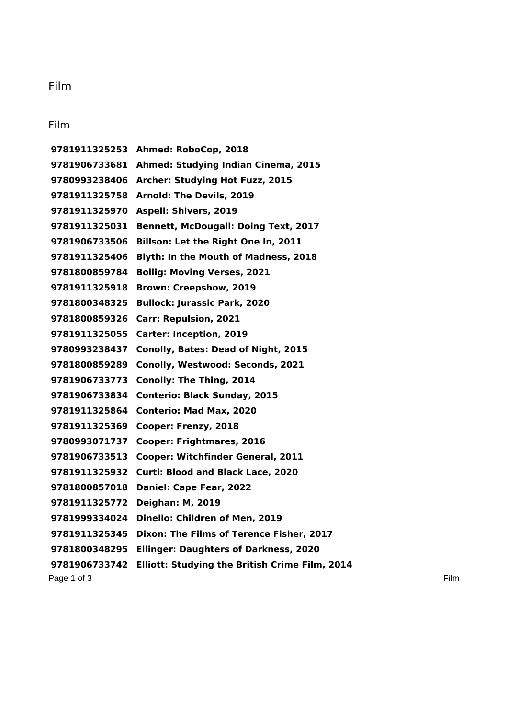## Film

## Film

Page 1 of 3 Film **Ahmed: RoboCop, 2018 Ahmed: Studying Indian Cinema, 2015 Archer: Studying Hot Fuzz, 2015 Arnold: The Devils, 2019 Aspell: Shivers, 2019 Bennett, McDougall: Doing Text, 2017 Billson: Let the Right One In, 2011 Blyth: In the Mouth of Madness, 2018 Bollig: Moving Verses, 2021 Brown: Creepshow, 2019 Bullock: Jurassic Park, 2020 Carr: Repulsion, 2021 Carter: Inception, 2019 Conolly, Bates: Dead of Night, 2015 Conolly, Westwood: Seconds, 2021 Conolly: The Thing, 2014 Conterio: Black Sunday, 2015 Conterio: Mad Max, 2020 Cooper: Frenzy, 2018 Cooper: Frightmares, 2016 Cooper: Witchfinder General, 2011 Curti: Blood and Black Lace, 2020 Daniel: Cape Fear, 2022 Deighan: M, 2019 Dinello: Children of Men, 2019 Dixon: The Films of Terence Fisher, 2017 Ellinger: Daughters of Darkness, 2020 Elliott: Studying the British Crime Film, 2014**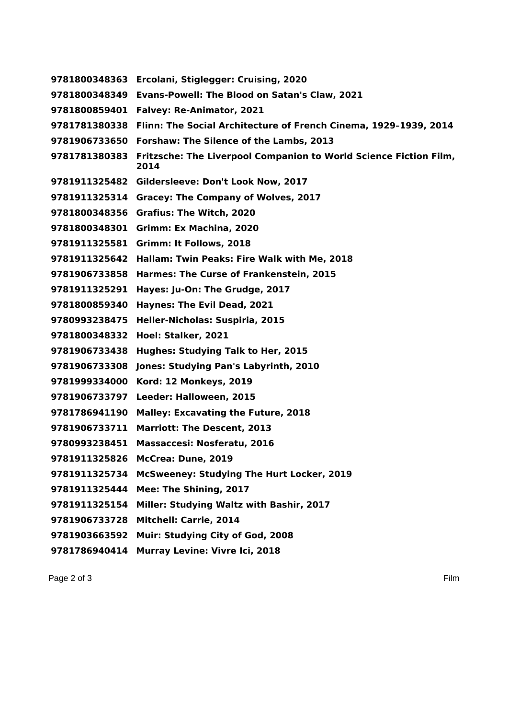**Ercolani, Stiglegger: Cruising, 2020 Evans-Powell: The Blood on Satan's Claw, 2021 Falvey: Re-Animator, 2021 Flinn: The Social Architecture of French Cinema, 1929–1939, 2014 Forshaw: The Silence of the Lambs, 2013 Fritzsche: The Liverpool Companion to World Science Fiction Film, Gildersleeve: Don't Look Now, 2017 Gracey: The Company of Wolves, 2017 Grafius: The Witch, 2020 Grimm: Ex Machina, 2020 Grimm: It Follows, 2018 Hallam: Twin Peaks: Fire Walk with Me, 2018 Harmes: The Curse of Frankenstein, 2015 Hayes: Ju-On: The Grudge, 2017 Haynes: The Evil Dead, 2021 Heller-Nicholas: Suspiria, 2015 Hoel: Stalker, 2021 Hughes: Studying Talk to Her, 2015 Jones: Studying Pan's Labyrinth, 2010 Kord: 12 Monkeys, 2019 Leeder: Halloween, 2015 Malley: Excavating the Future, 2018 Marriott: The Descent, 2013 Massaccesi: Nosferatu, 2016 McCrea: Dune, 2019 McSweeney: Studying The Hurt Locker, 2019 Mee: The Shining, 2017 Miller: Studying Waltz with Bashir, 2017 Mitchell: Carrie, 2014 Muir: Studying City of God, 2008 Murray Levine: Vivre Ici, 2018**

Page 2 of 3 Film